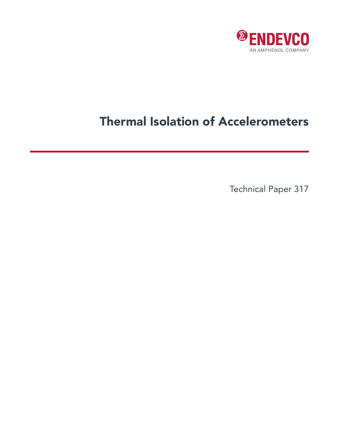

## Thermal Isolation of Accelerometers

Technical Paper 317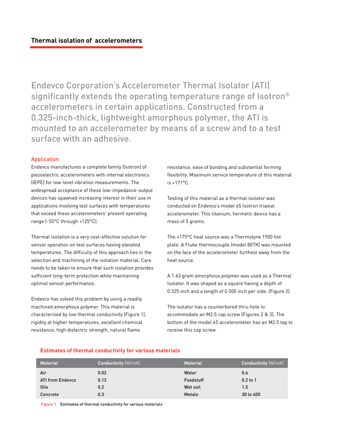Endevco Corporation's Accelerometer Thermal Isolator (ATI) significantly extends the operating temperature range of Isotron® accelerometers in certain applications. Constructed from a 0.325-inch-thick, lightweight amorphous polymer, the ATI is mounted to an accelerometer by means of a screw and to a test surface with an adhesive.

## Application

Endevco manufactures a complete family (Isotron) of piezoelectric accelerometers with internal electronics (IEPE) for low-level vibration measurements. The widespread acceptance of these low-impedance-output devices has spawned increasing interest in their use in applications involving test surfaces with temperatures that exceed these accelerometers' present operating range (-55°C through +125°C).

Thermal isolation is a very cost-effective solution for sensor operation on test surfaces having elevated temperatures. The difficulty of this approach lies in the selection and machining of the isolation material. Care needs to be taken to ensure that such isolation provides sufficient long-term protection while maintaining optimal sensor performance.

Endevco has solved this problem by using a readily machined amorphous polymer. This material is characterized by low thermal conductivity (Figure 1), rigidity at higher temperatures, excellent chemical resistance, high dielectric strength, natural flame

resistance, ease of bonding and substantial forming flexibility. Maximum service temperature of this material is +171°C.

Testing of this material as a thermal isolator was conducted on Endevco's model 65 Isotron triaxial accelerometer. This titanium, hermetic device has a mass of 5 grams.

The +175°C heat source was a Thermolyne 1900 hot plate. A Fluke thermocouple (model 80TK) was mounted on the face of the accelerometer furthest away from the heat source.

A 1.63 gram amorphous polymer was used as a Thermal Isolator. It was shaped as a square having a depth of 0.325 inch and a length of 0.500 inch per side. (Figure 2).

The isolator has a counterbored thru-hole to accommodate an M2.5 cap screw (Figures 2 & 3). The bottom of the model 65 accelerometer has an M2.5 tap to receive this cap screw.

| <b>Material</b>         | <b>Conductivity</b> (W/mK) | <b>Material</b> | <b>Conductivity (W/mK)</b> |
|-------------------------|----------------------------|-----------------|----------------------------|
| Air                     | 0.02                       | Water           | 0.6                        |
| <b>ATI from Endevco</b> | 0.13                       | Foodstuff       | $0.2$ to 1                 |
| Oils                    | 0.2                        | Wet soil        | 1.5                        |
| Concrete                | 0.3                        | <b>Metals</b>   | 30 to 400                  |

Figure 1 Estimates of thermal conductivity for various materials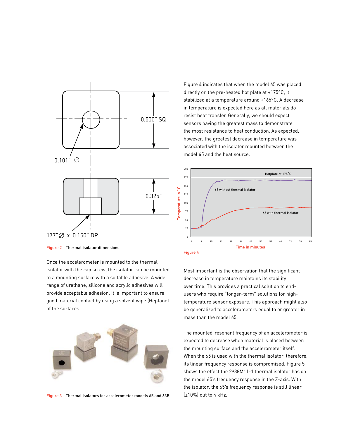

Once the accelerometer is mounted to the thermal isolator with the cap screw, the isolator can be mounted to a mounting surface with a suitable adhesive. A wide range of urethane, silicone and acrylic adhesives will provide acceptable adhesion. It is important to ensure good material contact by using a solvent wipe (Heptane) of the surfaces.



Figure 3 Thermal isolators for accelerometer models 65 and 63B

Figure 4 indicates that when the model 65 was placed directly on the pre-heated hot plate at +175°C, it stabilized at a temperature around +165°C. A decrease in temperature is expected here as all materials do resist heat transfer. Generally, we should expect sensors having the greatest mass to demonstrate the most resistance to heat conduction. As expected, however, the greatest decrease in temperature was associated with the isolator mounted between the model 65 and the heat source.



Most important is the observation that the significant decrease in temperature maintains its stability over time. This provides a practical solution to endusers who require "longer-term" solutions for hightemperature sensor exposure. This approach might also be generalized to accelerometers equal to or greater in mass than the model 65.

The mounted-resonant frequency of an accelerometer is expected to decrease when material is placed between the mounting surface and the accelerometer itself. When the 65 is used with the thermal isolator, therefore, its linear frequency response is compromised. Figure 5 shows the effect the 2988M11-1 thermal isolator has on the model 65's frequency response in the Z-axis. With the isolator, the 65's frequency response is still linear (±10%) out to 4 kHz.